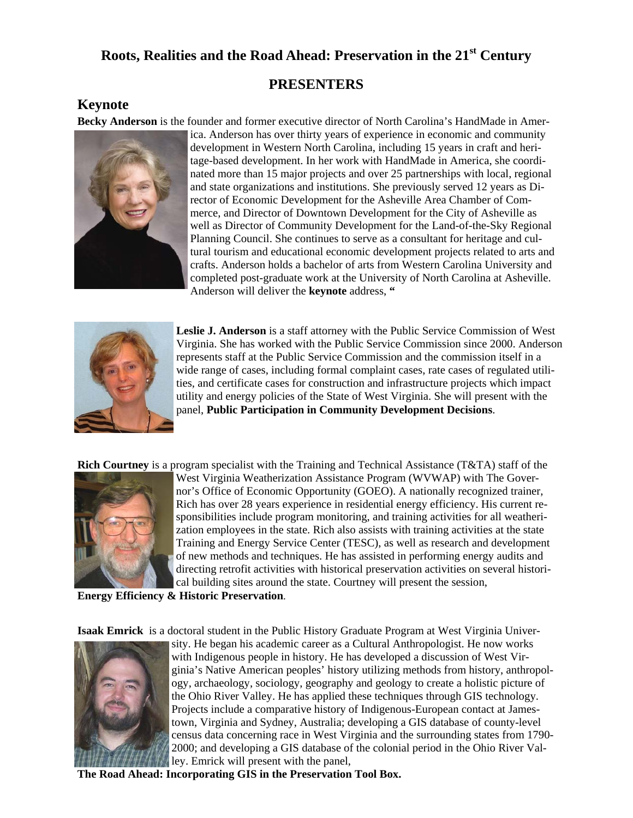#### **PRESENTERS**

#### **Keynote**

**Becky Anderson** is the founder and former executive director of North Carolina's HandMade in Amer-



ica. Anderson has over thirty years of experience in economic and community development in Western North Carolina, including 15 years in craft and heritage-based development. In her work with HandMade in America, she coordinated more than 15 major projects and over 25 partnerships with local, regional and state organizations and institutions. She previously served 12 years as Director of Economic Development for the Asheville Area Chamber of Commerce, and Director of Downtown Development for the City of Asheville as well as Director of Community Development for the Land-of-the-Sky Regional Planning Council. She continues to serve as a consultant for heritage and cultural tourism and educational economic development projects related to arts and crafts. Anderson holds a bachelor of arts from Western Carolina University and completed post-graduate work at the University of North Carolina at Asheville. Anderson will deliver the **keynote** address, **"** 



**Leslie J. Anderson** is a staff attorney with the Public Service Commission of West Virginia. She has worked with the Public Service Commission since 2000. Anderson represents staff at the Public Service Commission and the commission itself in a wide range of cases, including formal complaint cases, rate cases of regulated utilities, and certificate cases for construction and infrastructure projects which impact utility and energy policies of the State of West Virginia. She will present with the panel, **Public Participation in Community Development Decisions**.

**Rich Courtney** is a program specialist with the Training and Technical Assistance (T&TA) staff of the



West Virginia Weatherization Assistance Program (WVWAP) with The Governor's Office of Economic Opportunity (GOEO). A nationally recognized trainer, Rich has over 28 years experience in residential energy efficiency. His current responsibilities include program monitoring, and training activities for all weatherization employees in the state. Rich also assists with training activities at the state Training and Energy Service Center (TESC), as well as research and development of new methods and techniques. He has assisted in performing energy audits and directing retrofit activities with historical preservation activities on several historical building sites around the state. Courtney will present the session,

#### **Energy Efficiency & Historic Preservation**.

**Isaak Emrick** is a doctoral student in the Public History Graduate Program at West Virginia Univer-



sity. He began his academic career as a Cultural Anthropologist. He now works with Indigenous people in history. He has developed a discussion of West Virginia's Native American peoples' history utilizing methods from history, anthropology, archaeology, sociology, geography and geology to create a holistic picture of the Ohio River Valley. He has applied these techniques through GIS technology. Projects include a comparative history of Indigenous-European contact at Jamestown, Virginia and Sydney, Australia; developing a GIS database of county-level census data concerning race in West Virginia and the surrounding states from 1790- 2000; and developing a GIS database of the colonial period in the Ohio River Valley. Emrick will present with the panel,

**The Road Ahead: Incorporating GIS in the Preservation Tool Box.**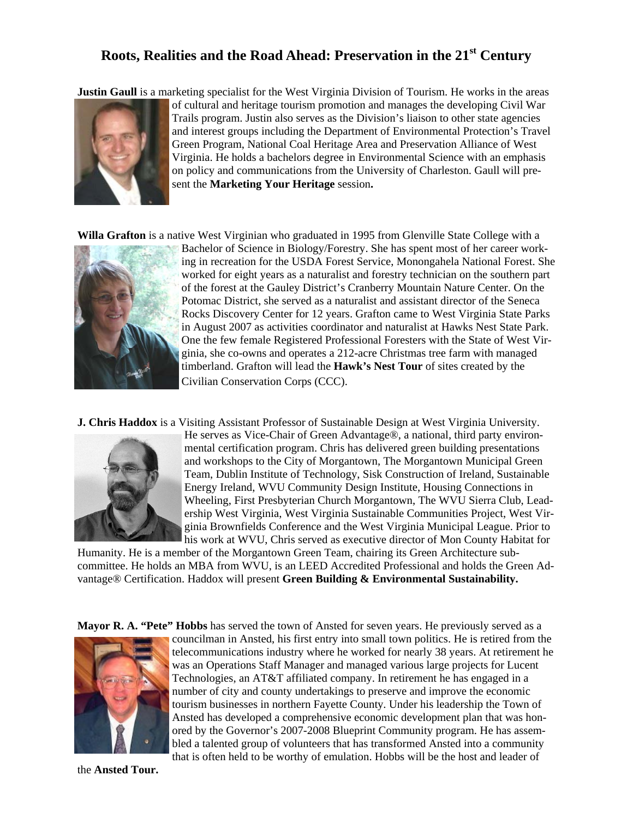**Justin Gaull** is a marketing specialist for the West Virginia Division of Tourism. He works in the areas



of cultural and heritage tourism promotion and manages the developing Civil War Trails program. Justin also serves as the Division's liaison to other state agencies and interest groups including the Department of Environmental Protection's Travel Green Program, National Coal Heritage Area and Preservation Alliance of West Virginia. He holds a bachelors degree in Environmental Science with an emphasis on policy and communications from the University of Charleston. Gaull will present the **Marketing Your Heritage** session**.** 

**Willa Grafton** is a native West Virginian who graduated in 1995 from Glenville State College with a



Bachelor of Science in Biology/Forestry. She has spent most of her career working in recreation for the USDA Forest Service, Monongahela National Forest. She worked for eight years as a naturalist and forestry technician on the southern part of the forest at the Gauley District's Cranberry Mountain Nature Center. On the Potomac District, she served as a naturalist and assistant director of the Seneca Rocks Discovery Center for 12 years. Grafton came to West Virginia State Parks in August 2007 as activities coordinator and naturalist at Hawks Nest State Park. One the few female Registered Professional Foresters with the State of West Virginia, she co-owns and operates a 212-acre Christmas tree farm with managed timberland. Grafton will lead the **Hawk's Nest Tour** of sites created by the Civilian Conservation Corps (CCC).

**J. Chris Haddox** is a Visiting Assistant Professor of Sustainable Design at West Virginia University.



He serves as Vice-Chair of Green Advantage®, a national, third party environmental certification program. Chris has delivered green building presentations and workshops to the City of Morgantown, The Morgantown Municipal Green Team, Dublin Institute of Technology, Sisk Construction of Ireland, Sustainable Energy Ireland, WVU Community Design Institute, Housing Connections in Wheeling, First Presbyterian Church Morgantown, The WVU Sierra Club, Leadership West Virginia, West Virginia Sustainable Communities Project, West Virginia Brownfields Conference and the West Virginia Municipal League. Prior to his work at WVU, Chris served as executive director of Mon County Habitat for

Humanity. He is a member of the Morgantown Green Team, chairing its Green Architecture subcommittee. He holds an MBA from WVU, is an LEED Accredited Professional and holds the Green Advantage® Certification. Haddox will present **Green Building & Environmental Sustainability.** 

**Mayor R. A. "Pete" Hobbs** has served the town of Ansted for seven years. He previously served as a



councilman in Ansted, his first entry into small town politics. He is retired from the telecommunications industry where he worked for nearly 38 years. At retirement he was an Operations Staff Manager and managed various large projects for Lucent Technologies, an AT&T affiliated company. In retirement he has engaged in a number of city and county undertakings to preserve and improve the economic tourism businesses in northern Fayette County. Under his leadership the Town of Ansted has developed a comprehensive economic development plan that was honored by the Governor's 2007-2008 Blueprint Community program. He has assembled a talented group of volunteers that has transformed Ansted into a community that is often held to be worthy of emulation. Hobbs will be the host and leader of

the **Ansted Tour.**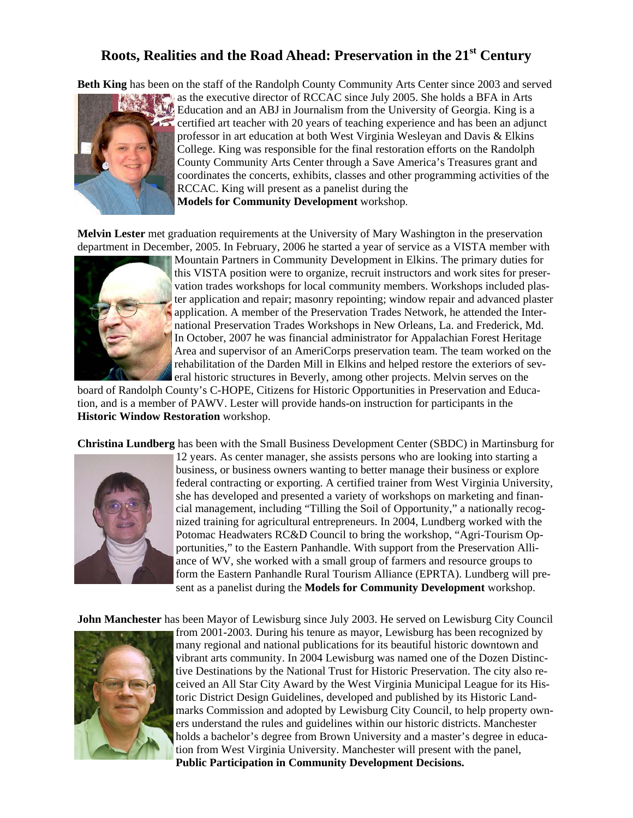**Beth King** has been on the staff of the Randolph County Community Arts Center since 2003 and served



as the executive director of RCCAC since July 2005. She holds a BFA in Arts Education and an ABJ in Journalism from the University of Georgia. King is a certified art teacher with 20 years of teaching experience and has been an adjunct professor in art education at both West Virginia Wesleyan and Davis & Elkins College. King was responsible for the final restoration efforts on the Randolph County Community Arts Center through a Save America's Treasures grant and coordinates the concerts, exhibits, classes and other programming activities of the RCCAC. King will present as a panelist during the **Models for Community Development** workshop.

**Melvin Lester** met graduation requirements at the University of Mary Washington in the preservation department in December, 2005. In February, 2006 he started a year of service as a VISTA member with



Mountain Partners in Community Development in Elkins. The primary duties for this VISTA position were to organize, recruit instructors and work sites for preservation trades workshops for local community members. Workshops included plaster application and repair; masonry repointing; window repair and advanced plaster application. A member of the Preservation Trades Network, he attended the International Preservation Trades Workshops in New Orleans, La. and Frederick, Md. In October, 2007 he was financial administrator for Appalachian Forest Heritage Area and supervisor of an AmeriCorps preservation team. The team worked on the rehabilitation of the Darden Mill in Elkins and helped restore the exteriors of several historic structures in Beverly, among other projects. Melvin serves on the

board of Randolph County's C-HOPE, Citizens for Historic Opportunities in Preservation and Education, and is a member of PAWV. Lester will provide hands-on instruction for participants in the **Historic Window Restoration** workshop.

**Christina Lundberg** has been with the Small Business Development Center (SBDC) in Martinsburg for



12 years. As center manager, she assists persons who are looking into starting a business, or business owners wanting to better manage their business or explore federal contracting or exporting. A certified trainer from West Virginia University, she has developed and presented a variety of workshops on marketing and financial management, including "Tilling the Soil of Opportunity," a nationally recognized training for agricultural entrepreneurs. In 2004, Lundberg worked with the Potomac Headwaters RC&D Council to bring the workshop, "Agri-Tourism Opportunities," to the Eastern Panhandle. With support from the Preservation Alliance of WV, she worked with a small group of farmers and resource groups to form the Eastern Panhandle Rural Tourism Alliance (EPRTA). Lundberg will present as a panelist during the **Models for Community Development** workshop.

**John Manchester** has been Mayor of Lewisburg since July 2003. He served on Lewisburg City Council



from 2001-2003. During his tenure as mayor, Lewisburg has been recognized by many regional and national publications for its beautiful historic downtown and vibrant arts community. In 2004 Lewisburg was named one of the Dozen Distinctive Destinations by the National Trust for Historic Preservation. The city also received an All Star City Award by the West Virginia Municipal League for its Historic District Design Guidelines, developed and published by its Historic Landmarks Commission and adopted by Lewisburg City Council, to help property owners understand the rules and guidelines within our historic districts. Manchester holds a bachelor's degree from Brown University and a master's degree in education from West Virginia University. Manchester will present with the panel, **Public Participation in Community Development Decisions.**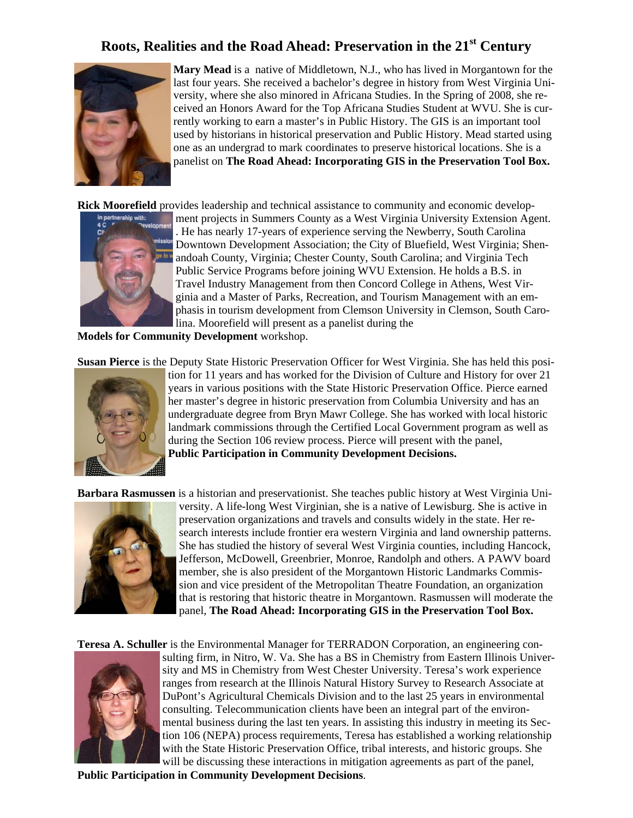

**Mary Mead** is a native of Middletown, N.J., who has lived in Morgantown for the last four years. She received a bachelor's degree in history from West Virginia University, where she also minored in Africana Studies. In the Spring of 2008, she received an Honors Award for the Top Africana Studies Student at WVU. She is currently working to earn a master's in Public History. The GIS is an important tool used by historians in historical preservation and Public History. Mead started using one as an undergrad to mark coordinates to preserve historical locations. She is a panelist on **The Road Ahead: Incorporating GIS in the Preservation Tool Box.** 

**Rick Moorefield** provides leadership and technical assistance to community and economic develop-



ment projects in Summers County as a West Virginia University Extension Agent. . He has nearly 17-years of experience serving the Newberry, South Carolina Downtown Development Association; the City of Bluefield, West Virginia; Shenandoah County, Virginia; Chester County, South Carolina; and Virginia Tech Public Service Programs before joining WVU Extension. He holds a B.S. in Travel Industry Management from then Concord College in Athens, West Virginia and a Master of Parks, Recreation, and Tourism Management with an emphasis in tourism development from Clemson University in Clemson, South Carolina. Moorefield will present as a panelist during the

**Models for Community Development** workshop.

**Susan Pierce** is the Deputy State Historic Preservation Officer for West Virginia. She has held this posi-



tion for 11 years and has worked for the Division of Culture and History for over 21 years in various positions with the State Historic Preservation Office. Pierce earned her master's degree in historic preservation from Columbia University and has an undergraduate degree from Bryn Mawr College. She has worked with local historic landmark commissions through the Certified Local Government program as well as during the Section 106 review process. Pierce will present with the panel, **Public Participation in Community Development Decisions.** 

**Barbara Rasmussen** is a historian and preservationist. She teaches public history at West Virginia Uni-



versity. A life-long West Virginian, she is a native of Lewisburg. She is active in preservation organizations and travels and consults widely in the state. Her research interests include frontier era western Virginia and land ownership patterns. She has studied the history of several West Virginia counties, including Hancock, Jefferson, McDowell, Greenbrier, Monroe, Randolph and others. A PAWV board member, she is also president of the Morgantown Historic Landmarks Commission and vice president of the Metropolitan Theatre Foundation, an organization that is restoring that historic theatre in Morgantown. Rasmussen will moderate the panel, **The Road Ahead: Incorporating GIS in the Preservation Tool Box.** 

**Teresa A. Schuller** is the Environmental Manager for TERRADON Corporation, an engineering con-



sulting firm, in Nitro, W. Va. She has a BS in Chemistry from Eastern Illinois University and MS in Chemistry from West Chester University. Teresa's work experience ranges from research at the Illinois Natural History Survey to Research Associate at DuPont's Agricultural Chemicals Division and to the last 25 years in environmental consulting. Telecommunication clients have been an integral part of the environmental business during the last ten years. In assisting this industry in meeting its Section 106 (NEPA) process requirements, Teresa has established a working relationship with the State Historic Preservation Office, tribal interests, and historic groups. She will be discussing these interactions in mitigation agreements as part of the panel,

**Public Participation in Community Development Decisions**.